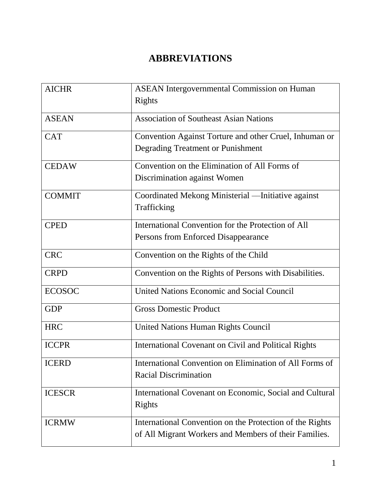## **ABBREVIATIONS**

| <b>AICHR</b>  | <b>ASEAN</b> Intergovernmental Commission on Human<br>Rights                                                      |
|---------------|-------------------------------------------------------------------------------------------------------------------|
| <b>ASEAN</b>  | <b>Association of Southeast Asian Nations</b>                                                                     |
| <b>CAT</b>    | Convention Against Torture and other Cruel, Inhuman or<br>Degrading Treatment or Punishment                       |
| <b>CEDAW</b>  | Convention on the Elimination of All Forms of<br>Discrimination against Women                                     |
| <b>COMMIT</b> | Coordinated Mekong Ministerial -Initiative against<br>Trafficking                                                 |
| <b>CPED</b>   | International Convention for the Protection of All<br>Persons from Enforced Disappearance                         |
| <b>CRC</b>    | Convention on the Rights of the Child                                                                             |
| <b>CRPD</b>   | Convention on the Rights of Persons with Disabilities.                                                            |
| <b>ECOSOC</b> | United Nations Economic and Social Council                                                                        |
| <b>GDP</b>    | <b>Gross Domestic Product</b>                                                                                     |
| <b>HRC</b>    | <b>United Nations Human Rights Council</b>                                                                        |
| <b>ICCPR</b>  | <b>International Covenant on Civil and Political Rights</b>                                                       |
| <b>ICERD</b>  | International Convention on Elimination of All Forms of<br><b>Racial Discrimination</b>                           |
| <b>ICESCR</b> | International Covenant on Economic, Social and Cultural<br><b>Rights</b>                                          |
| <b>ICRMW</b>  | International Convention on the Protection of the Rights<br>of All Migrant Workers and Members of their Families. |